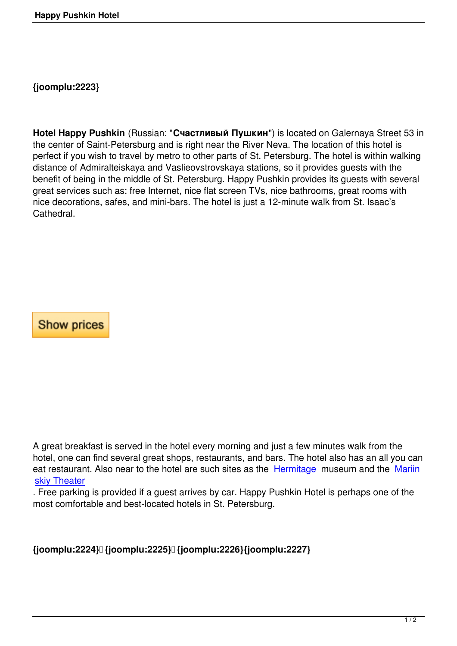**Hotel Happy Pushkin** (Russian: "**Счастливый Пушкин**") is located on Galernaya Street 53 in the center of Saint-Petersburg and is right near the River Neva. The location of this hotel is perfect if you wish to travel by metro to other parts of St. Petersburg. The hotel is within walking distance of Admiralteiskaya and Vaslieovstrovskaya stations, so it provides guests with the benefit of being in the middle of St. Petersburg. Happy Pushkin provides its guests with several great services such as: free Internet, nice flat screen TVs, nice bathrooms, great rooms with nice decorations, safes, and mini-bars. The hotel is just a 12-minute walk from St. Isaac's Cathedral.

**Show prices** 

A great breakfast is served in the hotel every morning and just a few minutes walk from the hotel, one can find several great shops, restaurants, and bars. The hotel also has an all you can eat restaurant. Also near to the hotel are such sites as the Hermitage museum and the Mariin skiy Theater

. Free parking is provided if a guest arrives by car. Happy Pushkin Hotel is perhaps one of the most comfortable and best-located hotels in St. Petersburg[.](http://www.sntpeters.com/entertainment/st-petersburg-attractions/30-hermitage.html) 

**{joomplu:2224} {joomplu:2225} {joomplu:2226}{joomplu:2227}**